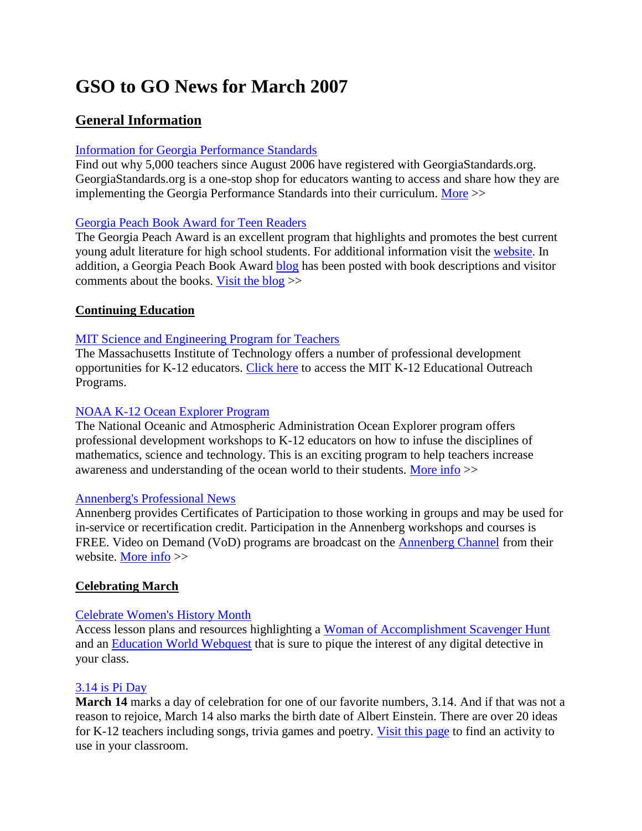# **GSO to GO News for March 2007**

# **General Information**

# [Information for Georgia Performance Standards](http://www.georgiastandards.org/)

Find out why 5,000 teachers since August 2006 have registered with GeorgiaStandards.org. GeorgiaStandards.org is a one-stop shop for educators wanting to access and share how they are implementing the Georgia Performance Standards into their curriculum. [More](http://www.georgiastandards.org/) >>

# [Georgia Peach Book Award for Teen Readers](http://glma-inc.org/peachaward.htm)

The Georgia Peach Award is an excellent program that highlights and promotes the best current young adult literature for high school students. For additional information visit the [website.](http://glma-inc.org/peachaward.htm) In addition, a Georgia Peach Book Award [blog](http://gpban.blogspot.com/) has been posted with book descriptions and visitor comments about the books. [Visit the blog](http://gpban.blogspot.com/) >>

# **Continuing Education**

# [MIT Science and Engineering Program for Teachers](http://web.mit.edu/k-12edu/list.html)

The Massachusetts Institute of Technology offers a number of professional development opportunities for K-12 educators. [Click here](http://web.mit.edu/k-12edu/list.html) to access the MIT K-12 Educational Outreach Programs.

# [NOAA K-12 Ocean Explorer Program](http://www.coexploration.org/ceo/)

The National Oceanic and Atmospheric Administration Ocean Explorer program offers professional development workshops to K-12 educators on how to infuse the disciplines of mathematics, science and technology. This is an exciting program to help teachers increase awareness and understanding of the ocean world to their students. [More info](http://www.coexploration.org/ceo/) >>

#### [Annenberg's Professional News](http://www.learner.org/about/news.html)

Annenberg provides Certificates of Participation to those working in groups and may be used for in-service or recertification credit. Participation in the Annenberg workshops and courses is FREE. Video on Demand (VoD) programs are broadcast on the [Annenberg Channel](http://www.learner.org/channel/channel.html) from their website. [More info](http://www.learner.org/channel/channel.html) >>

# **Celebrating March**

#### [Celebrate Women's History Month](http://www.educationworld.com/a_special/women_history.shtml)

Access lesson plans and resources highlighting a [Woman of Accomplishment Scavenger Hunt](http://www.educationworld.com/a_special/women_history.shtml) and an [Education World Webquest](http://www.educationworld.com/a_special/women_history.shtml) that is sure to pique the interest of any digital detective in your class.

#### [3.14 is Pi Day](http://www.education-world.com/a_lesson/lesson/lesson335.shtml)

**March 14** marks a day of celebration for one of our favorite numbers, 3.14. And if that was not a reason to rejoice, March 14 also marks the birth date of Albert Einstein. There are over 20 ideas for K-12 teachers including songs, trivia games and poetry. [Visit this page](http://www.education-world.com/a_lesson/lesson/lesson335.shtml) to find an activity to use in your classroom.